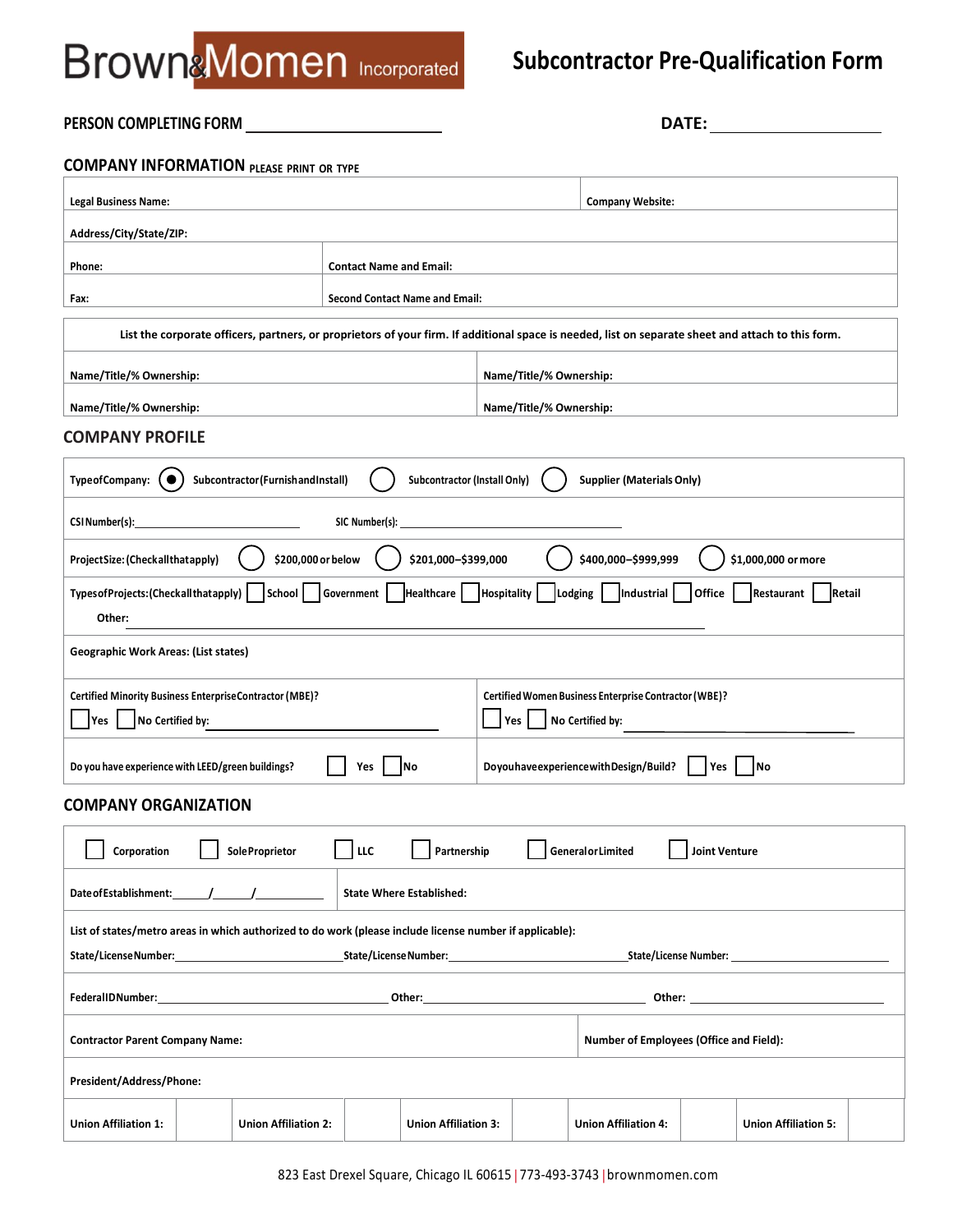## **Subcontractor Pre-Qualification Form**

### **PERSON COMPLETING FORM DATE:**

#### **COMPANY INFORMATION PLEASE PRINT OR TYPE**

| <b>Legal Business Name:</b>                                                                                                                                                     |                                       | <b>Company Website:</b> |                         |                                  |               |                             |  |
|---------------------------------------------------------------------------------------------------------------------------------------------------------------------------------|---------------------------------------|-------------------------|-------------------------|----------------------------------|---------------|-----------------------------|--|
| Address/City/State/ZIP:                                                                                                                                                         |                                       |                         |                         |                                  |               |                             |  |
| Phone:                                                                                                                                                                          | <b>Contact Name and Email:</b>        |                         |                         |                                  |               |                             |  |
| Fax:                                                                                                                                                                            | <b>Second Contact Name and Email:</b> |                         |                         |                                  |               |                             |  |
| List the corporate officers, partners, or proprietors of your firm. If additional space is needed, list on separate sheet and attach to this form.                              |                                       |                         |                         |                                  |               |                             |  |
| Name/Title/% Ownership:                                                                                                                                                         |                                       |                         | Name/Title/% Ownership: |                                  |               |                             |  |
| Name/Title/% Ownership:                                                                                                                                                         |                                       |                         | Name/Title/% Ownership: |                                  |               |                             |  |
| <b>COMPANY PROFILE</b>                                                                                                                                                          |                                       |                         |                         |                                  |               |                             |  |
| Subcontractor (FurnishandInstall)<br><b>TypeofCompany:</b>                                                                                                                      | <b>Subcontractor (Install Only)</b>   |                         |                         | <b>Supplier (Materials Only)</b> |               |                             |  |
| CSINumber(s):                                                                                                                                                                   | SIC Number(s):                        |                         |                         |                                  |               |                             |  |
| \$200,000 or below<br>ProjectSize: (Checkallthatapply)                                                                                                                          | \$201,000-\$399,000                   |                         |                         | \$400,000-\$999,999              |               | \$1,000,000 or more         |  |
| Types of Projects: (Checkall that apply)<br>School<br>Other:                                                                                                                    | Healthcare<br>Government              | <b>Hospitality</b>      |                         | Lodging    Industrial            | <b>Office</b> | Restaurant<br>Retail        |  |
| <b>Geographic Work Areas: (List states)</b>                                                                                                                                     |                                       |                         |                         |                                  |               |                             |  |
| <b>Certified Minority Business EnterpriseContractor (MBE)?</b><br>Certified Women Business Enterprise Contractor (WBE)?<br>No Certified by:<br>Yes  <br>No Certified by:<br>Yes |                                       |                         |                         |                                  |               |                             |  |
| DoyouhaveexperiencewithDesign/Build?<br>Do you have experience with LEED/green buildings?<br> No<br> No<br>Yes<br>Yes                                                           |                                       |                         |                         |                                  |               |                             |  |
| <b>COMPANY ORGANIZATION</b>                                                                                                                                                     |                                       |                         |                         |                                  |               |                             |  |
| Sole Proprietor<br>LLC<br><b>GeneralorLimited</b><br><b>Joint Venture</b><br>Corporation<br>Partnership                                                                         |                                       |                         |                         |                                  |               |                             |  |
| <b>State Where Established:</b>                                                                                                                                                 |                                       |                         |                         |                                  |               |                             |  |
| List of states/metro areas in which authorized to do work (please include license number if applicable):                                                                        |                                       |                         |                         |                                  |               |                             |  |
|                                                                                                                                                                                 |                                       |                         |                         |                                  |               |                             |  |
|                                                                                                                                                                                 |                                       |                         |                         |                                  |               |                             |  |
| <b>Contractor Parent Company Name:</b><br>Number of Employees (Office and Field):                                                                                               |                                       |                         |                         |                                  |               |                             |  |
| President/Address/Phone:                                                                                                                                                        |                                       |                         |                         |                                  |               |                             |  |
| <b>Union Affiliation 1:</b><br><b>Union Affiliation 2:</b>                                                                                                                      | <b>Union Affiliation 3:</b>           |                         |                         | <b>Union Affiliation 4:</b>      |               | <b>Union Affiliation 5:</b> |  |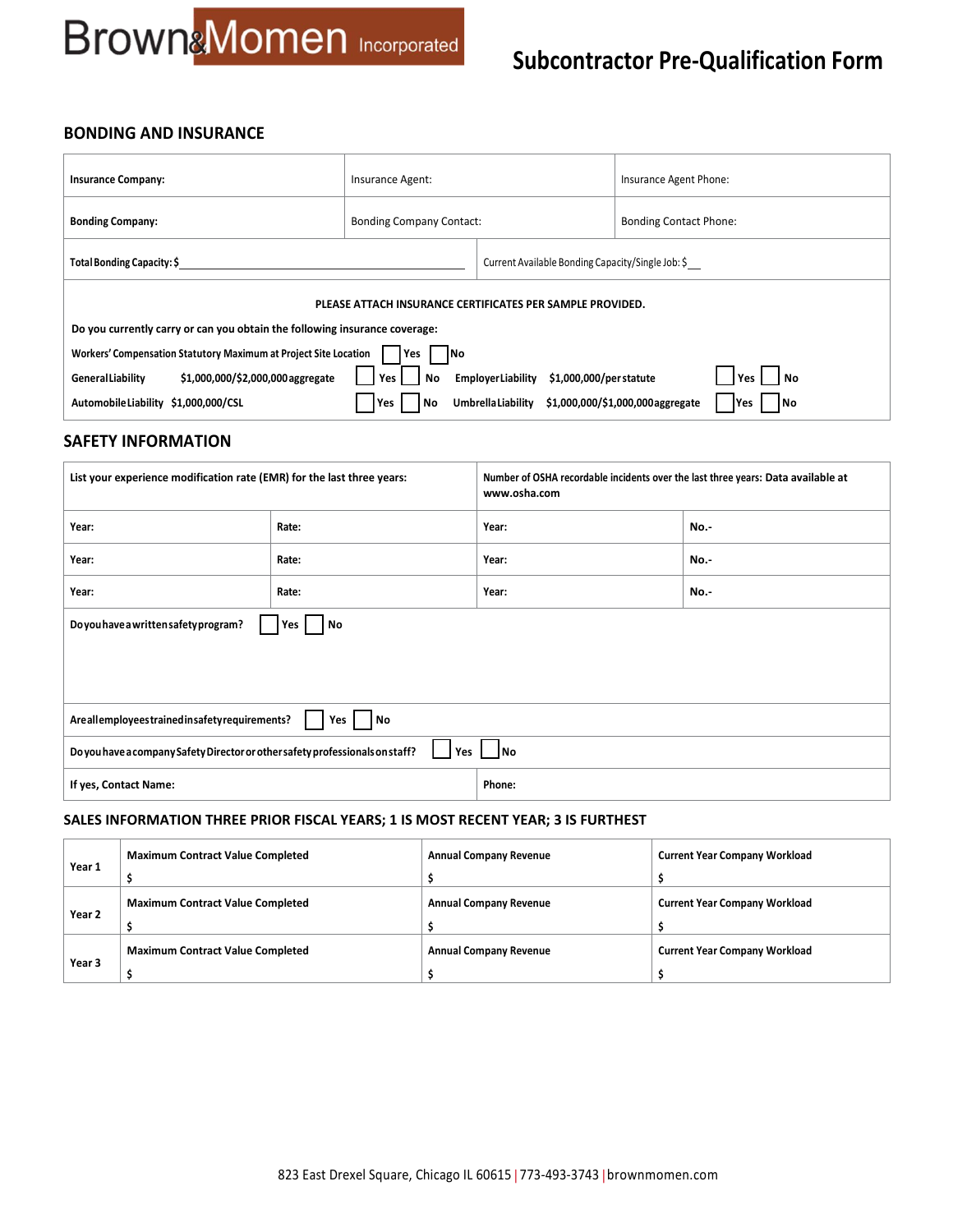## **Subcontractor Pre-Qualification Form**

### **BONDING AND INSURANCE**

| <b>Insurance Company:</b>                                                      | Insurance Agent:                                  |                                                     | Insurance Agent Phone:                          |  |
|--------------------------------------------------------------------------------|---------------------------------------------------|-----------------------------------------------------|-------------------------------------------------|--|
| <b>Bonding Company:</b>                                                        | <b>Bonding Company Contact:</b>                   |                                                     | <b>Bonding Contact Phone:</b>                   |  |
| Total Bonding Capacity: \$                                                     | Current Available Bonding Capacity/Single Job: \$ |                                                     |                                                 |  |
| PLEASE ATTACH INSURANCE CERTIFICATES PER SAMPLE PROVIDED.                      |                                                   |                                                     |                                                 |  |
| Do you currently carry or can you obtain the following insurance coverage:     |                                                   |                                                     |                                                 |  |
| Workers' Compensation Statutory Maximum at Project Site Location<br>Yes<br>1No |                                                   |                                                     |                                                 |  |
| \$1,000,000/\$2,000,000 aggregate<br>GeneralLiability                          | Yes<br>No                                         | \$1,000,000/per statute<br><b>EmployerLiability</b> | l No<br>Yes                                     |  |
| Automobile Liability \$1,000,000/CSL                                           | Yes<br>Νo                                         | <b>UmbrellaLiability</b>                            | \$1,000,000/\$1,000,000aggregate<br>l No<br>Yes |  |

#### **SAFETY INFORMATION**

| List your experience modification rate (EMR) for the last three years:                       |       | Number of OSHA recordable incidents over the last three years: Data available at<br>www.osha.com |      |
|----------------------------------------------------------------------------------------------|-------|--------------------------------------------------------------------------------------------------|------|
| Year:                                                                                        | Rate: | Year:                                                                                            | No.- |
| Year:                                                                                        | Rate: | Year:                                                                                            | No.- |
| Year:                                                                                        | Rate: | Year:                                                                                            | No.- |
| Do you have a written safety program?<br>No<br>Yes                                           |       |                                                                                                  |      |
|                                                                                              |       |                                                                                                  |      |
|                                                                                              |       |                                                                                                  |      |
| Are all employees trained insafety requirements?<br>  No<br>Yes                              |       |                                                                                                  |      |
| Do you have a company Safety Director or other safety professionals on staff?<br>  No<br>Yes |       |                                                                                                  |      |
| Phone:<br>If yes, Contact Name:                                                              |       |                                                                                                  |      |

#### **SALES INFORMATION THREE PRIOR FISCAL YEARS; 1 IS MOST RECENT YEAR; 3 IS FURTHEST**

|        | <b>Maximum Contract Value Completed</b> | <b>Annual Company Revenue</b> | <b>Current Year Company Workload</b> |
|--------|-----------------------------------------|-------------------------------|--------------------------------------|
| Year 1 |                                         |                               |                                      |
|        | <b>Maximum Contract Value Completed</b> | <b>Annual Company Revenue</b> | <b>Current Year Company Workload</b> |
| Year 2 |                                         |                               |                                      |
|        | <b>Maximum Contract Value Completed</b> | <b>Annual Company Revenue</b> | <b>Current Year Company Workload</b> |
| Year 3 |                                         |                               |                                      |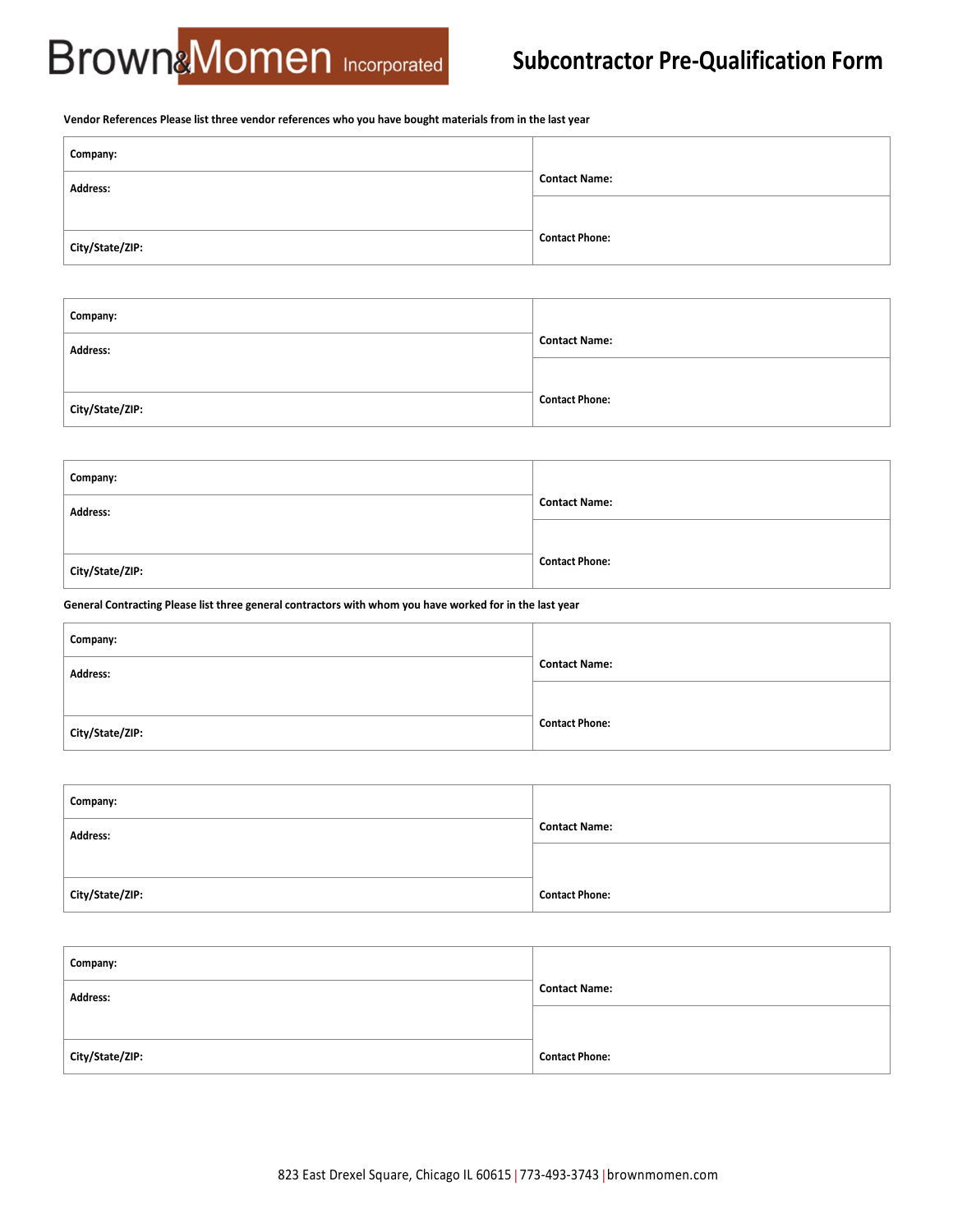## **Subcontractor Pre-Qualification Form**

#### **Vendor References Please list three vendor references who you have bought materials from in the last year**

| Company:        |                       |
|-----------------|-----------------------|
| Address:        | <b>Contact Name:</b>  |
|                 |                       |
| City/State/ZIP: | <b>Contact Phone:</b> |

| Company:        |                       |
|-----------------|-----------------------|
| Address:        | <b>Contact Name:</b>  |
|                 |                       |
| City/State/ZIP: | <b>Contact Phone:</b> |
|                 |                       |

| Company:        |                       |
|-----------------|-----------------------|
| Address:        | <b>Contact Name:</b>  |
|                 |                       |
| City/State/ZIP: | <b>Contact Phone:</b> |
|                 |                       |

**General Contracting Please list three general contractors with whom you have worked for in the last year**

| Company:        |                       |
|-----------------|-----------------------|
| Address:        | <b>Contact Name:</b>  |
|                 |                       |
| City/State/ZIP: | <b>Contact Phone:</b> |

| Company:        |                       |
|-----------------|-----------------------|
| Address:        | <b>Contact Name:</b>  |
|                 |                       |
| City/State/ZIP: | <b>Contact Phone:</b> |

| Company:        |                       |
|-----------------|-----------------------|
| <b>Address:</b> | <b>Contact Name:</b>  |
|                 |                       |
| City/State/ZIP: | <b>Contact Phone:</b> |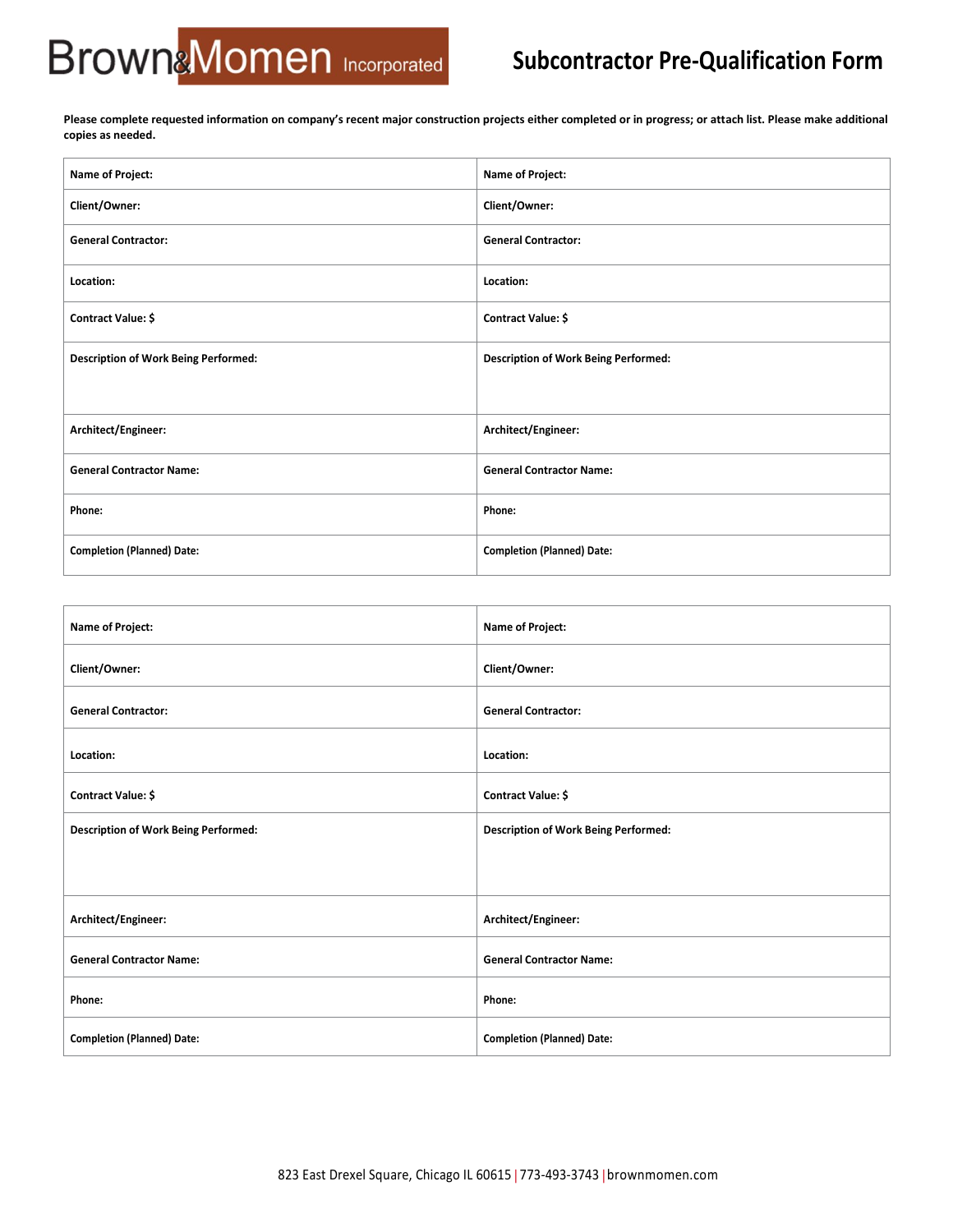## **Subcontractor Pre-Qualification Form**

**Please complete requested information on company's recent major construction projects either completed or in progress; or attach list. Please make additional copies as needed.**

| Name of Project:                            | Name of Project:                            |
|---------------------------------------------|---------------------------------------------|
| Client/Owner:                               | Client/Owner:                               |
| <b>General Contractor:</b>                  | <b>General Contractor:</b>                  |
| Location:                                   | Location:                                   |
| Contract Value: \$                          | Contract Value: \$                          |
| <b>Description of Work Being Performed:</b> | <b>Description of Work Being Performed:</b> |
|                                             |                                             |
| Architect/Engineer:                         | Architect/Engineer:                         |
| <b>General Contractor Name:</b>             | <b>General Contractor Name:</b>             |
| Phone:                                      | Phone:                                      |
| <b>Completion (Planned) Date:</b>           | <b>Completion (Planned) Date:</b>           |

| Name of Project:                            | Name of Project:                            |
|---------------------------------------------|---------------------------------------------|
| Client/Owner:                               | Client/Owner:                               |
| <b>General Contractor:</b>                  | <b>General Contractor:</b>                  |
| Location:                                   | Location:                                   |
| Contract Value: \$                          | Contract Value: \$                          |
| <b>Description of Work Being Performed:</b> | <b>Description of Work Being Performed:</b> |
|                                             |                                             |
| Architect/Engineer:                         | Architect/Engineer:                         |
| <b>General Contractor Name:</b>             | <b>General Contractor Name:</b>             |
| Phone:                                      | Phone:                                      |
| <b>Completion (Planned) Date:</b>           | <b>Completion (Planned) Date:</b>           |